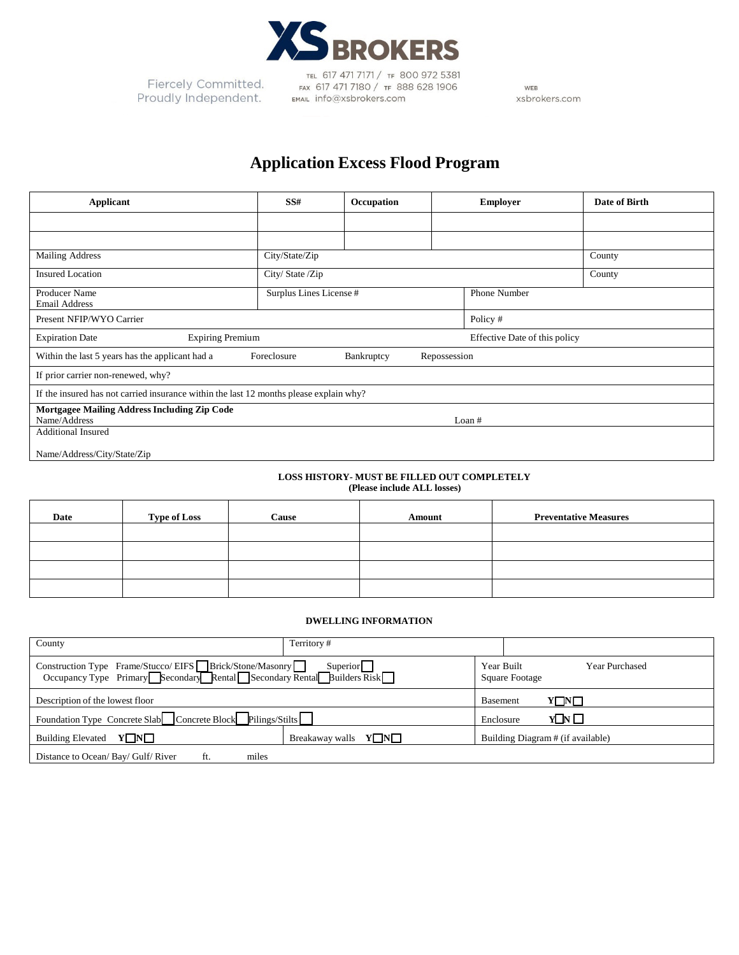

Fiercely Committed. Proudly Independent.

TEL 617 471 7171 / TF 800 972 5381 FAX 617 471 7180 / TF 888 628 1906 EMAIL info@xsbrokers.com

WEB xsbrokers.com

# **Application Excess Flood Program**

| <b>Applicant</b>                                                                             | SS#                     | Occupation |          | <b>Employer</b> | Date of Birth |
|----------------------------------------------------------------------------------------------|-------------------------|------------|----------|-----------------|---------------|
|                                                                                              |                         |            |          |                 |               |
|                                                                                              |                         |            |          |                 |               |
| <b>Mailing Address</b>                                                                       | City/State/Zip          |            |          |                 | County        |
| <b>Insured Location</b>                                                                      | City/ State /Zip        |            |          |                 | County        |
| Producer Name<br><b>Email Address</b>                                                        | Surplus Lines License # |            |          | Phone Number    |               |
| Present NFIP/WYO Carrier                                                                     |                         |            | Policy # |                 |               |
| <b>Expiration Date</b><br><b>Expiring Premium</b><br>Effective Date of this policy           |                         |            |          |                 |               |
| Within the last 5 years has the applicant had a<br>Foreclosure<br>Bankruptcy<br>Repossession |                         |            |          |                 |               |
| If prior carrier non-renewed, why?                                                           |                         |            |          |                 |               |
| If the insured has not carried insurance within the last 12 months please explain why?       |                         |            |          |                 |               |
| Mortgagee Mailing Address Including Zip Code<br>Name/Address<br>Loan #                       |                         |            |          |                 |               |
| <b>Additional Insured</b>                                                                    |                         |            |          |                 |               |
| Name/Address/City/State/Zip                                                                  |                         |            |          |                 |               |

#### **LOSS HISTORY- MUST BE FILLED OUT COMPLETELY (Please include ALL losses)**

| Date | <b>Type of Loss</b> | Cause | Amount | <b>Preventative Measures</b> |
|------|---------------------|-------|--------|------------------------------|
|      |                     |       |        |                              |
|      |                     |       |        |                              |
|      |                     |       |        |                              |
|      |                     |       |        |                              |

### **DWELLING INFORMATION**

| County                                                                                                                              | Territory#                       |                                                       |  |
|-------------------------------------------------------------------------------------------------------------------------------------|----------------------------------|-------------------------------------------------------|--|
| Construction Type Frame/Stucco/ EIFS Brick/Stone/Masonry Superior Superior Superior Secondary Rental Secondary Rental Builders Risk |                                  | Year Built<br><b>Year Purchased</b><br>Square Footage |  |
| Description of the lowest floor                                                                                                     | $Y\Box Y\Box$<br><b>Basement</b> |                                                       |  |
| Foundation Type Concrete Slab Concrete Block Pilings/Stilts                                                                         |                                  | $Y\Box Y \Box$<br>Enclosure                           |  |
| <b>Building Elevated</b><br>$Y\Box N\Box$                                                                                           | Breakaway walls $Y\Box N\Box$    | Building Diagram # (if available)                     |  |
| Distance to Ocean/ Bay/ Gulf/River<br>miles                                                                                         |                                  |                                                       |  |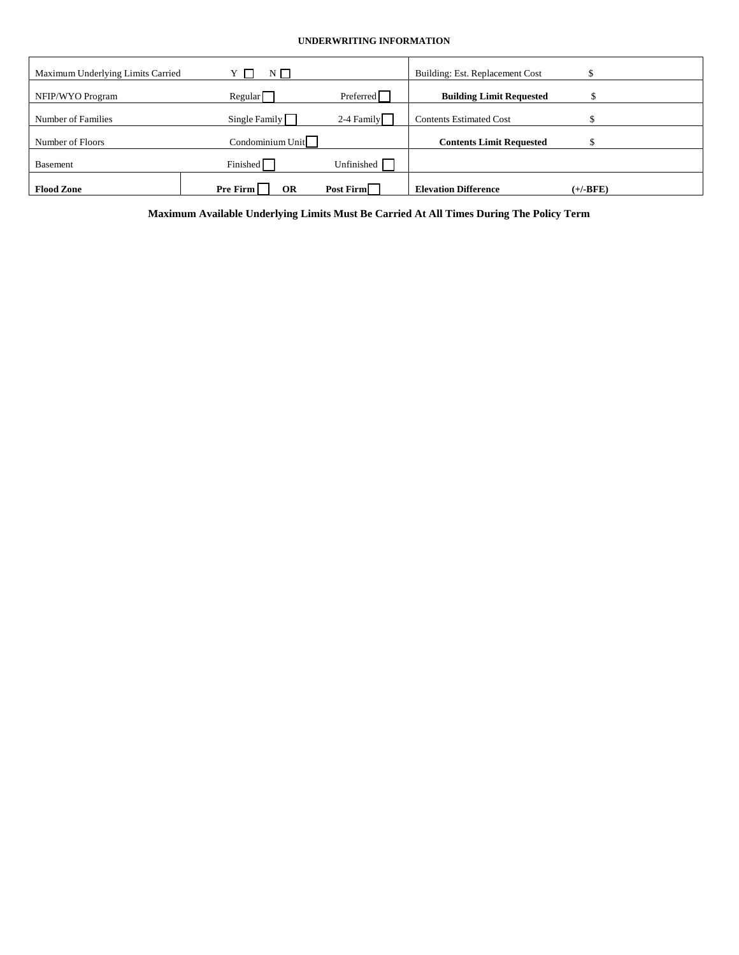## **UNDERWRITING INFORMATION**

| Maximum Underlying Limits Carried | $N \Box$              |              | Building: Est. Replacement Cost |            |
|-----------------------------------|-----------------------|--------------|---------------------------------|------------|
| NFIP/WYO Program                  | Regular               | Preferred    | <b>Building Limit Requested</b> |            |
| Number of Families                | Single Family         | $2-4$ Family | <b>Contents Estimated Cost</b>  |            |
| Number of Floors                  | Condominium Unit      |              | <b>Contents Limit Requested</b> |            |
| <b>Basement</b>                   | Finished              | Unfinished   |                                 |            |
| <b>Flood Zone</b>                 | Pre Firm<br><b>OR</b> | Post Firm    | <b>Elevation Difference</b>     | $(+/-BFE)$ |

**Maximum Available Underlying Limits Must Be Carried At All Times During The Policy Term**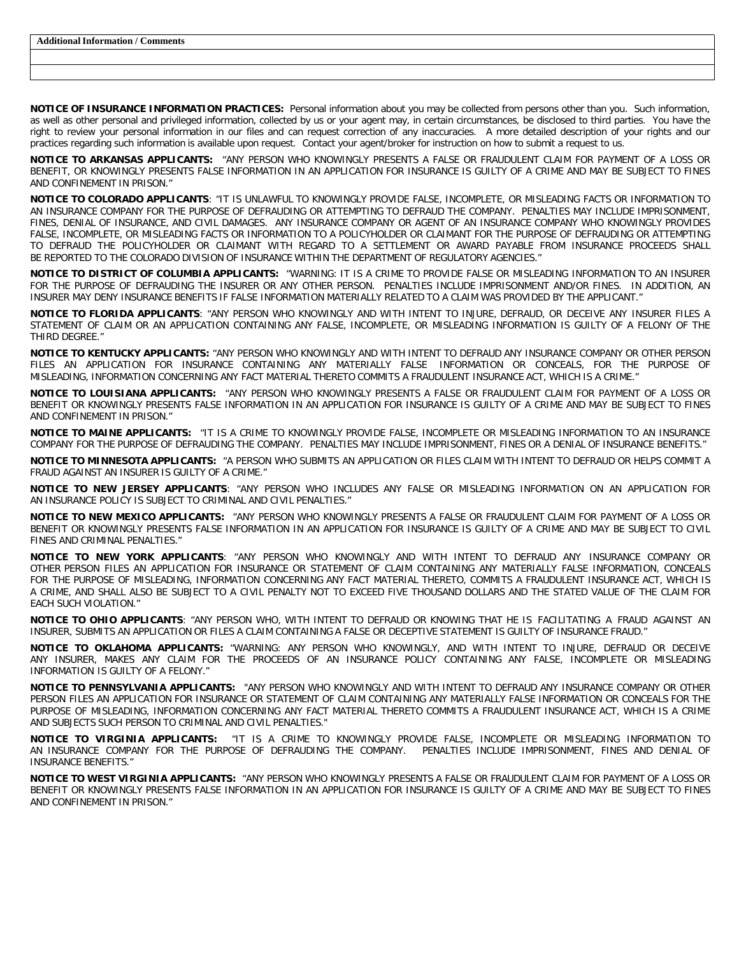**NOTICE OF INSURANCE INFORMATION PRACTICES:** Personal information about you may be collected from persons other than you. Such information, as well as other personal and privileged information, collected by us or your agent may, in certain circumstances, be disclosed to third parties. You have the right to review your personal information in our files and can request correction of any inaccuracies. A more detailed description of your rights and our practices regarding such information is available upon request. Contact your agent/broker for instruction on how to submit a request to us.

**NOTICE TO ARKANSAS APPLICANTS:** "ANY PERSON WHO KNOWINGLY PRESENTS A FALSE OR FRAUDULENT CLAIM FOR PAYMENT OF A LOSS OR BENEFIT, OR KNOWINGLY PRESENTS FALSE INFORMATION IN AN APPLICATION FOR INSURANCE IS GUILTY OF A CRIME AND MAY BE SUBJECT TO FINES AND CONFINEMENT IN PRISON."

**NOTICE TO COLORADO APPLICANTS**: "IT IS UNLAWFUL TO KNOWINGLY PROVIDE FALSE, INCOMPLETE, OR MISLEADING FACTS OR INFORMATION TO AN INSURANCE COMPANY FOR THE PURPOSE OF DEFRAUDING OR ATTEMPTING TO DEFRAUD THE COMPANY. PENALTIES MAY INCLUDE IMPRISONMENT, FINES, DENIAL OF INSURANCE, AND CIVIL DAMAGES. ANY INSURANCE COMPANY OR AGENT OF AN INSURANCE COMPANY WHO KNOWINGLY PROVIDES FALSE, INCOMPLETE, OR MISLEADING FACTS OR INFORMATION TO A POLICYHOLDER OR CLAIMANT FOR THE PURPOSE OF DEFRAUDING OR ATTEMPTING TO DEFRAUD THE POLICYHOLDER OR CLAIMANT WITH REGARD TO A SETTLEMENT OR AWARD PAYABLE FROM INSURANCE PROCEEDS SHALL BE REPORTED TO THE COLORADO DIVISION OF INSURANCE WITHIN THE DEPARTMENT OF REGULATORY AGENCIES."

**NOTICE TO DISTRICT OF COLUMBIA APPLICANTS:** "WARNING: IT IS A CRIME TO PROVIDE FALSE OR MISLEADING INFORMATION TO AN INSURER FOR THE PURPOSE OF DEFRAUDING THE INSURER OR ANY OTHER PERSON. PENALTIES INCLUDE IMPRISONMENT AND/OR FINES. IN ADDITION, AN INSURER MAY DENY INSURANCE BENEFITS IF FALSE INFORMATION MATERIALLY RELATED TO A CLAIM WAS PROVIDED BY THE APPLICANT."

**NOTICE TO FLORIDA APPLICANTS**: "ANY PERSON WHO KNOWINGLY AND WITH INTENT TO INJURE, DEFRAUD, OR DECEIVE ANY INSURER FILES A STATEMENT OF CLAIM OR AN APPLICATION CONTAINING ANY FALSE, INCOMPLETE, OR MISLEADING INFORMATION IS GUILTY OF A FELONY OF THE THIRD DEGREE."

**NOTICE TO KENTUCKY APPLICANTS:** "ANY PERSON WHO KNOWINGLY AND WITH INTENT TO DEFRAUD ANY INSURANCE COMPANY OR OTHER PERSON FILES AN APPLICATION FOR INSURANCE CONTAINING ANY MATERIALLY FALSE INFORMATION OR CONCEALS, FOR THE PURPOSE OF MISLEADING, INFORMATION CONCERNING ANY FACT MATERIAL THERETO COMMITS A FRAUDULENT INSURANCE ACT, WHICH IS A CRIME."

**NOTICE TO LOUISIANA APPLICANTS:** "ANY PERSON WHO KNOWINGLY PRESENTS A FALSE OR FRAUDULENT CLAIM FOR PAYMENT OF A LOSS OR BENEFIT OR KNOWINGLY PRESENTS FALSE INFORMATION IN AN APPLICATION FOR INSURANCE IS GUILTY OF A CRIME AND MAY BE SUBJECT TO FINES AND CONFINEMENT IN PRISON."

**NOTICE TO MAINE APPLICANTS:** "IT IS A CRIME TO KNOWINGLY PROVIDE FALSE, INCOMPLETE OR MISLEADING INFORMATION TO AN INSURANCE COMPANY FOR THE PURPOSE OF DEFRAUDING THE COMPANY. PENALTIES MAY INCLUDE IMPRISONMENT, FINES OR A DENIAL OF INSURANCE BENEFITS."

**NOTICE TO MINNESOTA APPLICANTS:** "A PERSON WHO SUBMITS AN APPLICATION OR FILES CLAIM WITH INTENT TO DEFRAUD OR HELPS COMMIT A FRAUD AGAINST AN INSURER IS GUILTY OF A CRIME."

**NOTICE TO NEW JERSEY APPLICANTS**: "ANY PERSON WHO INCLUDES ANY FALSE OR MISLEADING INFORMATION ON AN APPLICATION FOR AN INSURANCE POLICY IS SUBJECT TO CRIMINAL AND CIVIL PENALTIES."

**NOTICE TO NEW MEXICO APPLICANTS:** "ANY PERSON WHO KNOWINGLY PRESENTS A FALSE OR FRAUDULENT CLAIM FOR PAYMENT OF A LOSS OR BENEFIT OR KNOWINGLY PRESENTS FALSE INFORMATION IN AN APPLICATION FOR INSURANCE IS GUILTY OF A CRIME AND MAY BE SUBJECT TO CIVIL FINES AND CRIMINAL PENALTIES."

**NOTICE TO NEW YORK APPLICANTS**: "ANY PERSON WHO KNOWINGLY AND WITH INTENT TO DEFRAUD ANY INSURANCE COMPANY OR OTHER PERSON FILES AN APPLICATION FOR INSURANCE OR STATEMENT OF CLAIM CONTAINING ANY MATERIALLY FALSE INFORMATION, CONCEALS FOR THE PURPOSE OF MISLEADING, INFORMATION CONCERNING ANY FACT MATERIAL THERETO, COMMITS A FRAUDULENT INSURANCE ACT, WHICH IS A CRIME, AND SHALL ALSO BE SUBJECT TO A CIVIL PENALTY NOT TO EXCEED FIVE THOUSAND DOLLARS AND THE STATED VALUE OF THE CLAIM FOR EACH SUCH VIOLATION."

**NOTICE TO OHIO APPLICANTS**: "ANY PERSON WHO, WITH INTENT TO DEFRAUD OR KNOWING THAT HE IS FACILITATING A FRAUD AGAINST AN INSURER, SUBMITS AN APPLICATION OR FILES A CLAIM CONTAINING A FALSE OR DECEPTIVE STATEMENT IS GUILTY OF INSURANCE FRAUD."

**NOTICE TO OKLAHOMA APPLICANTS:** "WARNING: ANY PERSON WHO KNOWINGLY, AND WITH INTENT TO INJURE, DEFRAUD OR DECEIVE ANY INSURER, MAKES ANY CLAIM FOR THE PROCEEDS OF AN INSURANCE POLICY CONTAINING ANY FALSE, INCOMPLETE OR MISLEADING INFORMATION IS GUILTY OF A FELONY."

**NOTICE TO PENNSYLVANIA APPLICANTS:** "ANY PERSON WHO KNOWINGLY AND WITH INTENT TO DEFRAUD ANY INSURANCE COMPANY OR OTHER PERSON FILES AN APPLICATION FOR INSURANCE OR STATEMENT OF CLAIM CONTAINING ANY MATERIALLY FALSE INFORMATION OR CONCEALS FOR THE PURPOSE OF MISLEADING, INFORMATION CONCERNING ANY FACT MATERIAL THERETO COMMITS A FRAUDULENT INSURANCE ACT, WHICH IS A CRIME AND SUBJECTS SUCH PERSON TO CRIMINAL AND CIVIL PENALTIES."

**NOTICE TO VIRGINIA APPLICANTS:** "IT IS A CRIME TO KNOWINGLY PROVIDE FALSE, INCOMPLETE OR MISLEADING INFORMATION TO AN INSURANCE COMPANY FOR THE PURPOSE OF DEFRAUDING THE COMPANY. PENALTIES INCLUDE IMPRISONMENT, FINES AND DENIAL OF INSURANCE BENEFITS."

**NOTICE TO WEST VIRGINIA APPLICANTS:** "ANY PERSON WHO KNOWINGLY PRESENTS A FALSE OR FRAUDULENT CLAIM FOR PAYMENT OF A LOSS OR BENEFIT OR KNOWINGLY PRESENTS FALSE INFORMATION IN AN APPLICATION FOR INSURANCE IS GUILTY OF A CRIME AND MAY BE SUBJECT TO FINES AND CONFINEMENT IN PRISON."